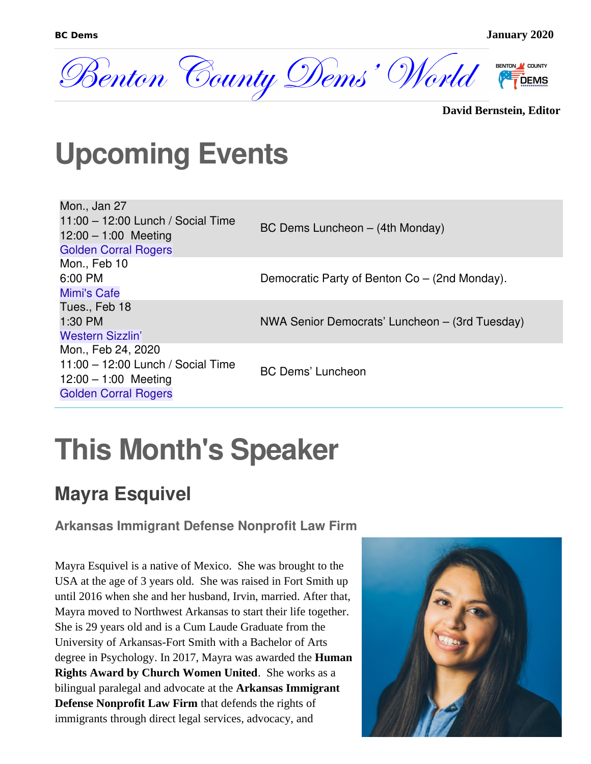

**David Bernstein, Editor**

## **Upcoming Events**

| Mon., Jan 27<br>$11:00 - 12:00$ Lunch / Social Time<br>$12:00 - 1:00$ Meeting<br><b>Golden Corral Rogers</b> | BC Dems Luncheon - (4th Monday)                                                                 |
|--------------------------------------------------------------------------------------------------------------|-------------------------------------------------------------------------------------------------|
| Mon., Feb 10                                                                                                 |                                                                                                 |
| <b>Mimi's Cafe</b>                                                                                           |                                                                                                 |
| Tues., Feb 18<br>1:30 PM                                                                                     |                                                                                                 |
| <b>Western Sizzlin'</b>                                                                                      |                                                                                                 |
| Mon., Feb 24, 2020                                                                                           |                                                                                                 |
| $12:00 - 1:00$ Meeting<br><b>Golden Corral Rogers</b>                                                        | <b>BC Dems' Luncheon</b>                                                                        |
| 6:00 PM<br>$11:00 - 12:00$ Lunch / Social Time                                                               | Democratic Party of Benton Co – (2nd Monday).<br>NWA Senior Democrats' Luncheon – (3rd Tuesday) |

# **This Month's Speaker**

### **Mayra Esquivel**

**Arkansas Immigrant Defense Nonprofit Law Firm**

Mayra Esquivel is a native of Mexico. She was brought to the USA at the age of 3 years old. She was raised in Fort Smith up until 2016 when she and her husband, Irvin, married. After that, Mayra moved to Northwest Arkansas to start their life together. She is 29 years old and is a Cum Laude Graduate from the University of Arkansas-Fort Smith with a Bachelor of Arts degree in Psychology. In 2017, Mayra was awarded the **Human Rights Award by Church Women United**. She works as a bilingual paralegal and advocate at the **Arkansas Immigrant Defense Nonprofit Law Firm** that defends the rights of immigrants through direct legal services, advocacy, and

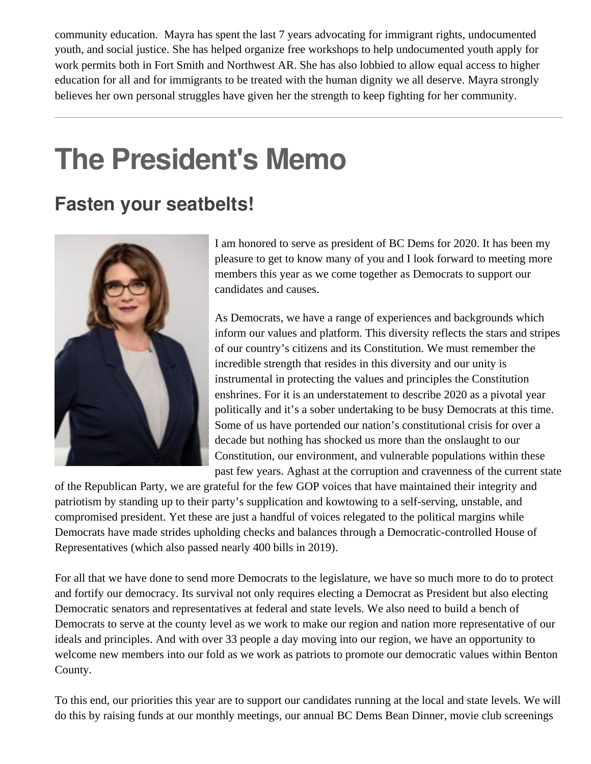community education. Mayra has spent the last 7 years advocating for immigrant rights, undocumented youth, and social justice. She has helped organize free workshops to help undocumented youth apply for work permits both in Fort Smith and Northwest AR. She has also lobbied to allow equal access to higher education for all and for immigrants to be treated with the human dignity we all deserve. Mayra strongly believes her own personal struggles have given her the strength to keep fighting for her community.

# **The President's Memo**

### **Fasten your seatbelts!**



I am honored to serve as president of BC Dems for 2020. It has been my pleasure to get to know many of you and I look forward to meeting more members this year as we come together as Democrats to support our candidates and causes.

As Democrats, we have a range of experiences and backgrounds which inform our values and platform. This diversity reflects the stars and stripes of our country's citizens and its Constitution. We must remember the incredible strength that resides in this diversity and our unity is instrumental in protecting the values and principles the Constitution enshrines. For it is an understatement to describe 2020 as a pivotal year politically and it's a sober undertaking to be busy Democrats at this time. Some of us have portended our nation's constitutional crisis for over a decade but nothing has shocked us more than the onslaught to our Constitution, our environment, and vulnerable populations within these past few years. Aghast at the corruption and cravenness of the current state

of the Republican Party, we are grateful for the few GOP voices that have maintained their integrity and patriotism by standing up to their party's supplication and kowtowing to a self-serving, unstable, and compromised president. Yet these are just a handful of voices relegated to the political margins while Democrats have made strides upholding checks and balances through a Democratic-controlled House of Representatives (which also passed nearly 400 bills in 2019).

For all that we have done to send more Democrats to the legislature, we have so much more to do to protect and fortify our democracy. Its survival not only requires electing a Democrat as President but also electing Democratic senators and representatives at federal and state levels. We also need to build a bench of Democrats to serve at the county level as we work to make our region and nation more representative of our ideals and principles. And with over 33 people a day moving into our region, we have an opportunity to welcome new members into our fold as we work as patriots to promote our democratic values within Benton County.

To this end, our priorities this year are to support our candidates running at the local and state levels. We will do this by raising funds at our monthly meetings, our annual BC Dems Bean Dinner, movie club screenings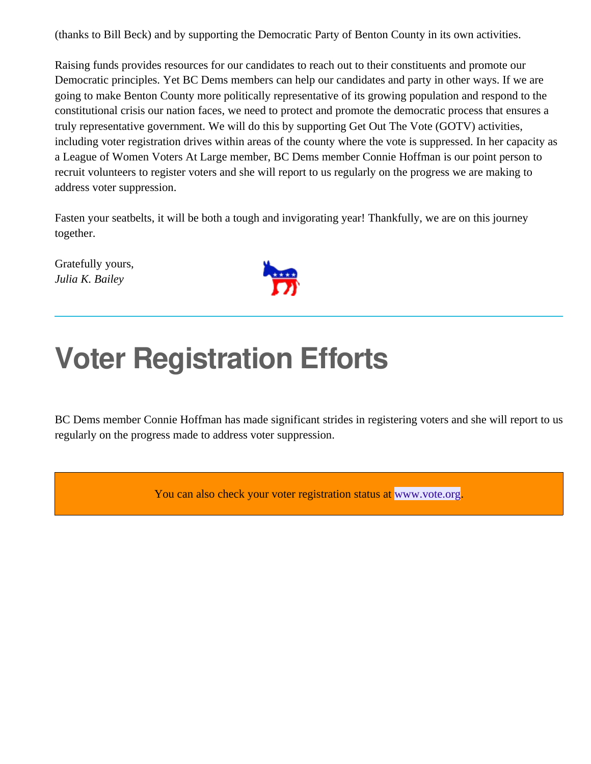(thanks to Bill Beck) and by supporting the Democratic Party of Benton County in its own activities.

Raising funds provides resources for our candidates to reach out to their constituents and promote our Democratic principles. Yet BC Dems members can help our candidates and party in other ways. If we are going to make Benton County more politically representative of its growing population and respond to the constitutional crisis our nation faces, we need to protect and promote the democratic process that ensures a truly representative government. We will do this by supporting Get Out The Vote (GOTV) activities, including voter registration drives within areas of the county where the vote is suppressed. In her capacity as a League of Women Voters At Large member, BC Dems member Connie Hoffman is our point person to recruit volunteers to register voters and she will report to us regularly on the progress we are making to address voter suppression.

Fasten your seatbelts, it will be both a tough and invigorating year! Thankfully, we are on this journey together.

Gratefully yours, *Julia K. Bailey*



## **Voter Registration Efforts**

BC Dems member Connie Hoffman has made significant strides in registering voters and she will report to us regularly on the progress made to address voter suppression.

You can also check your voter registration status at [www.vote.org.](http://www.vote.org/)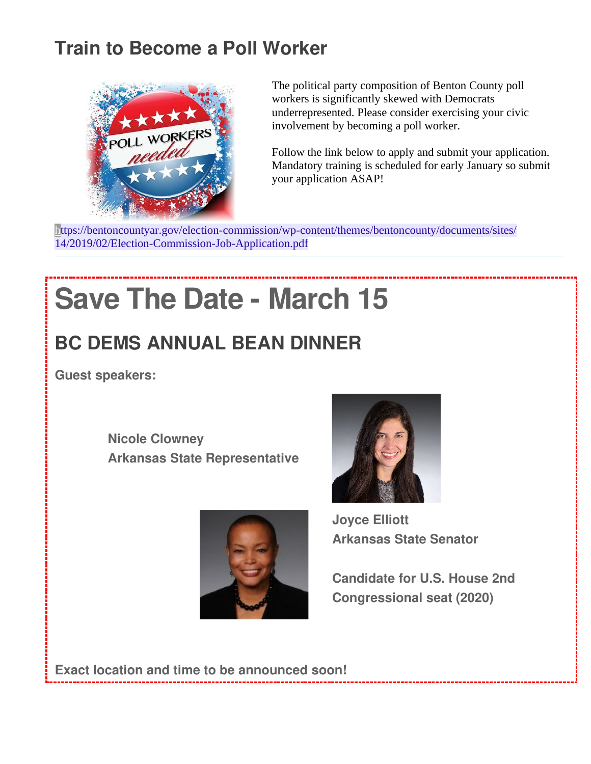### **Train to Become a Poll Worker**



The political party composition of Benton County poll workers is significantly skewed with Democrats underrepresented. Please consider exercising your civic involvement by becoming a poll worker.

Follow the link below to apply and submit your application. Mandatory training is scheduled for early January so submit your application ASAP!

[https://bentoncountyar.gov/election-commission/wp-content/themes/bentoncounty/documents/sites/](https://bentoncountyar.gov/election-commission/wp-content/themes/bentoncounty/documents/sites/14/2019/02/Election-Commission-Job-Application.pdf) [14/2019/02/Election-Commission-Job-Application.pdf](https://bentoncountyar.gov/election-commission/wp-content/themes/bentoncounty/documents/sites/14/2019/02/Election-Commission-Job-Application.pdf)

# **Save The Date - March 15**

## **BC DEMS ANNUAL BEAN DINNER**

**Guest speakers:**

**Nicole Clowney Arkansas State Representative**





**Joyce Elliott Arkansas State Senator**

**Candidate for U.S. House 2nd Congressional seat (2020)**

**Exact location and time to be announced soon!**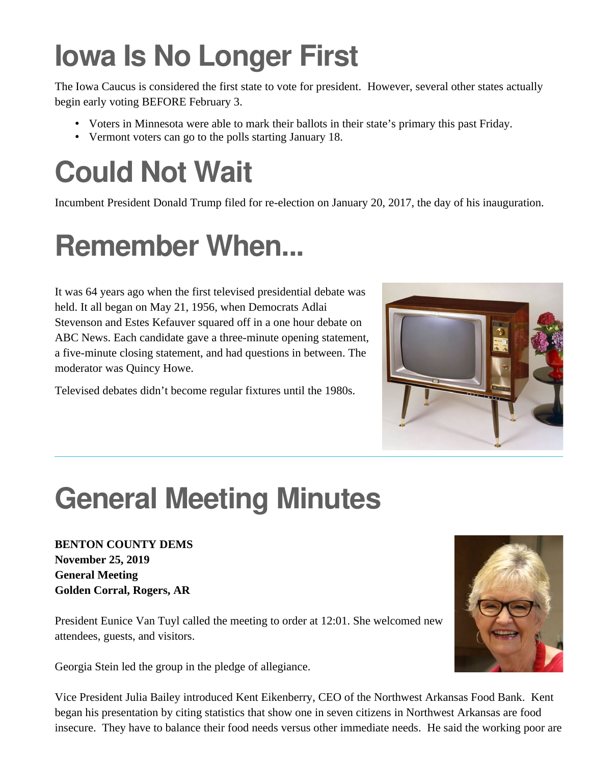# **Iowa Is No Longer First**

The Iowa Caucus is considered the first state to vote for president. However, several other states actually begin early voting BEFORE February 3.

- Voters in Minnesota were able to mark their ballots in their state's primary this past Friday.
- Vermont voters can go to the polls starting January 18.

# **Could Not Wait**

Incumbent President Donald Trump filed for re-election on January 20, 2017, the day of his inauguration.

## **Remember When...**

It was 64 years ago when the first televised presidential debate was held. It all began on May 21, 1956, when Democrats Adlai Stevenson and Estes Kefauver squared off in a one hour debate on ABC News. Each candidate gave a three-minute opening statement, a five-minute closing statement, and had questions in between. The moderator was Quincy Howe.

Televised debates didn't become regular fixtures until the 1980s.



## **General Meeting Minutes**

**BENTON COUNTY DEMS November 25, 2019 General Meeting Golden Corral, Rogers, AR**

President Eunice Van Tuyl called the meeting to order at 12:01. She welcomed new attendees, guests, and visitors.

Georgia Stein led the group in the pledge of allegiance.

Vice President Julia Bailey introduced Kent Eikenberry, CEO of the Northwest Arkansas Food Bank. Kent began his presentation by citing statistics that show one in seven citizens in Northwest Arkansas are food insecure. They have to balance their food needs versus other immediate needs. He said the working poor are

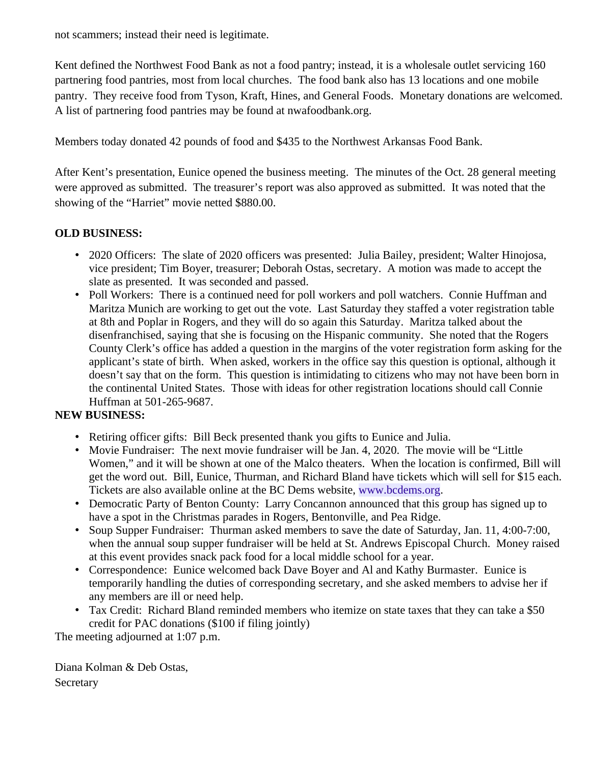not scammers; instead their need is legitimate.

Kent defined the Northwest Food Bank as not a food pantry; instead, it is a wholesale outlet servicing 160 partnering food pantries, most from local churches. The food bank also has 13 locations and one mobile pantry. They receive food from Tyson, Kraft, Hines, and General Foods. Monetary donations are welcomed. A list of partnering food pantries may be found at nwafoodbank.org.

Members today donated 42 pounds of food and \$435 to the Northwest Arkansas Food Bank.

After Kent's presentation, Eunice opened the business meeting. The minutes of the Oct. 28 general meeting were approved as submitted. The treasurer's report was also approved as submitted. It was noted that the showing of the "Harriet" movie netted \$880.00.

#### **OLD BUSINESS:**

- 2020 Officers: The slate of 2020 officers was presented: Julia Bailey, president; Walter Hinojosa, vice president; Tim Boyer, treasurer; Deborah Ostas, secretary. A motion was made to accept the slate as presented. It was seconded and passed.
- Poll Workers: There is a continued need for poll workers and poll watchers. Connie Huffman and Maritza Munich are working to get out the vote. Last Saturday they staffed a voter registration table at 8th and Poplar in Rogers, and they will do so again this Saturday. Maritza talked about the disenfranchised, saying that she is focusing on the Hispanic community. She noted that the Rogers County Clerk's office has added a question in the margins of the voter registration form asking for the applicant's state of birth. When asked, workers in the office say this question is optional, although it doesn't say that on the form. This question is intimidating to citizens who may not have been born in the continental United States. Those with ideas for other registration locations should call Connie Huffman at 501-265-9687.

#### **NEW BUSINESS:**

- Retiring officer gifts: Bill Beck presented thank you gifts to Eunice and Julia.
- Movie Fundraiser: The next movie fundraiser will be Jan. 4, 2020. The movie will be "Little Women," and it will be shown at one of the Malco theaters. When the location is confirmed, Bill will get the word out. Bill, Eunice, Thurman, and Richard Bland have tickets which will sell for \$15 each. Tickets are also available online at the BC Dems website, [www.bcdems.org](http://www.bcdems.org/).
- Democratic Party of Benton County: Larry Concannon announced that this group has signed up to have a spot in the Christmas parades in Rogers, Bentonville, and Pea Ridge.
- Soup Supper Fundraiser: Thurman asked members to save the date of Saturday, Jan. 11, 4:00-7:00, when the annual soup supper fundraiser will be held at St. Andrews Episcopal Church. Money raised at this event provides snack pack food for a local middle school for a year.
- Correspondence: Eunice welcomed back Dave Boyer and Al and Kathy Burmaster. Eunice is temporarily handling the duties of corresponding secretary, and she asked members to advise her if any members are ill or need help.
- Tax Credit: Richard Bland reminded members who itemize on state taxes that they can take a \$50 credit for PAC donations (\$100 if filing jointly)

The meeting adjourned at 1:07 p.m.

Diana Kolman & Deb Ostas, Secretary